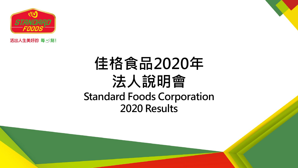

活出人生美好的 每 一) 刻!

## 佳格食品2020年 法人說明會 Standard Foods Corporation 2020 Results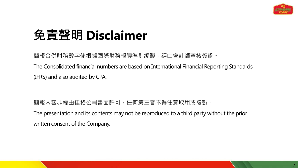

### 免責聲明 **Disclaimer**

簡報合併財務報團際財務報導準則編製,經由會計師查核簽證。 The Consolidated financial numbers are based on International Financial Reporting Standards (IFRS) and also audited by CPA.

簡報內容非經由佳格公司書面許可,任何第三者不得任意取用或複製。 The presentation and its contents may not be reproduced to a third party without the prior written consent of the Company.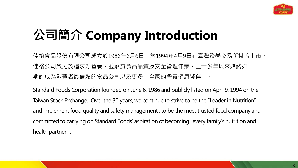

## 公司簡介 **Company Introduction**

佳格食品股份有限公司成立於1986年6月6日,於1994年4月9日在臺灣證券交易所掛牌上市。 佳格公司致力於追求好營養, 並落實食品品質及安全管理作業, 三十多年以來始終如一**,** 期許成為消費者最信賴的食品公司以及更多「全家的營養健康夥伴」。

Standard Foods Corporation founded on June 6, 1986 and publicly listed on April 9, 1994 on the Taiwan Stock Exchange. Over the 30 years, we continue to strive to be the "Leader in Nutrition" and implement food quality and safety management , to be the most trusted food company and committed to carrying on Standard Foods' aspiration of becoming "every family's nutrition and health partner" .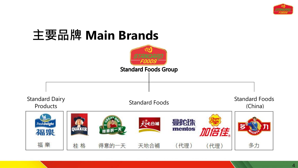

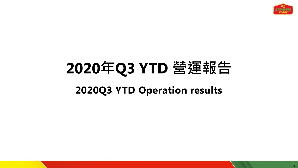

## **2020**年**Q3 YTD** 營運報告 **2020Q3 YTD Operation results**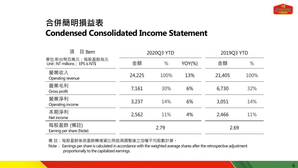

### 合併簡明損益表 **Condensed Consolidated Income Statement**

| 項<br>$\boxplus$ Item                               | 2020Q3 YTD |      |           | 2019Q3 YTD |      |
|----------------------------------------------------|------------|------|-----------|------------|------|
| 單位:新台幣百萬元;每股盈餘為元<br>Unit: NT millions; EPS is NT\$ | 金額         | %    | $YOY(\%)$ | 金額         | $\%$ |
| 營業收入<br>Operating revenue                          | 24,225     | 100% | 13%       | 21,405     | 100% |
| 營業毛利<br>Gross profit                               | 7,161      | 30%  | 6%        | 6,730      | 32%  |
| 營業淨利<br>Operating income                           | 3,237      | 14%  | 6%        | 3,051      | 14%  |
| 本期淨利<br>Net income                                 | 2,562      | 11%  | 4%        | 2,466      | 11%  |
| 每股盈餘 (備註)<br>Earning per share (Note)              | 2.79       |      |           | 2.69       |      |

備 註:每股盈餘係按盈餘轉增資比例追溯調整後之加權平均股數計算。

Note : Earnings per share is calculated in accordance with the weighted average shares after the retrospective adjustment proportionally to the capitalized earnings.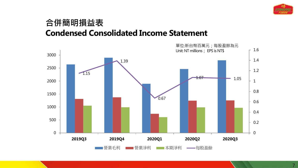

#### 合併簡明損益表 **Condensed Consolidated Income Statement**

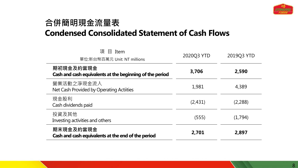

#### 合併簡明現金流量表 **Condensed Consolidated Statement of Cash Flows**

| 項 目 Item<br>單位:新台幣百萬元 Unit: NT millions                               | 2020Q3 YTD | 2019Q3 YTD |
|-----------------------------------------------------------------------|------------|------------|
| 期初現金及約當現金<br>Cash and cash equivalents at the beginning of the period | 3,706      | 2,590      |
| 營業活動之淨現金流入<br>Net Cash Provided by Operating Actiities                | 1,981      | 4,389      |
| 現金股利<br>Cash dividends paid                                           | (2,431)    | (2,288)    |
| 投資及其他<br>Investing activities and others                              | (555)      | (1,794)    |
| 期末現金及約當現金<br>Cash and cash equivalents at the end of the period       | 2,701      | 2,897      |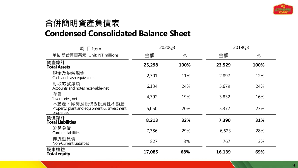

#### 合併簡明資產負債表 **Condensed Consolidated Balance Sheet**

| 項<br>$\boxplus$ Item                                                         | 2020Q3 |      | 2019Q3 |      |
|------------------------------------------------------------------------------|--------|------|--------|------|
| 單位:新台幣百萬元 Unit: NT millions                                                  | 金額     | $\%$ | 金額     | %    |
| 資產總計<br><b>Total Assets</b>                                                  | 25,298 | 100% | 23,529 | 100% |
| 現金及約當現金<br>Cash and cash equivalents                                         | 2,701  | 11%  | 2,897  | 12%  |
| 應收帳款淨額<br>Accounts and notes receivable-net                                  | 6,134  | 24%  | 5,679  | 24%  |
| 存貨<br>Inventories, net                                                       | 4,792  | 19%  | 3,832  | 16%  |
| 不動產、廠房及設備&投資性不動產<br>Property, plant and equipment & Investment<br>properties | 5,050  | 20%  | 5,377  | 23%  |
| 負債總計<br><b>Total Liabilities</b>                                             | 8,213  | 32%  | 7,390  | 31%  |
| 流動負債<br><b>Current Liabilities</b>                                           | 7,386  | 29%  | 6,623  | 28%  |
| 非流動負債<br>Non-Current Liabilities                                             | 827    | 3%   | 767    | 3%   |
| 股東權益<br>Total equity                                                         | 17,085 | 68%  | 16,139 | 69%  |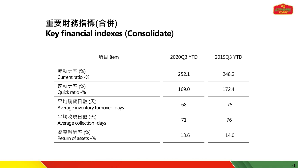

#### 重要財務指標(合併) **Key financial indexes** (**Consolidate**)

| 項目 Item                                        | 2020Q3 YTD | 2019Q3 YTD |  |
|------------------------------------------------|------------|------------|--|
| 流動比率 (%)<br>Current ratio -%                   | 252.1      | 248.2      |  |
| 速動比率 (%)<br>Quick ratio -%                     | 169.0      | 172.4      |  |
| 平均銷貨日數(天)<br>Average inventory turnover - days | 68         | 75         |  |
| 平均收現日數(天)<br>Average collection - days         | 71         | 76         |  |
| 資產報酬率 (%)<br>Return of assets -%               | 13.6       | 14.0       |  |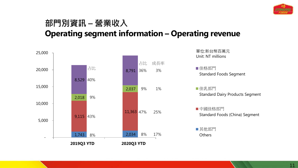

#### 部門別資訊 – 營業收入 **Operating segment information – Operating revenue**

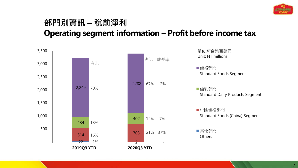

#### 部門別資訊 – 稅前淨利 **Operating segment information – Profit before income tax**

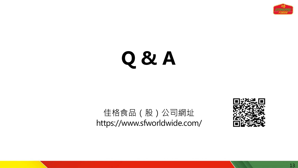

## **Q & A**

### 佳格食品(股)公司網址 https://www.sfworldwide.com/